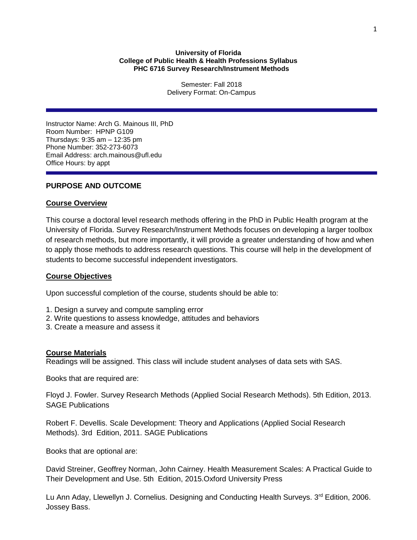# **University of Florida College of Public Health & Health Professions Syllabus PHC 6716 Survey Research/Instrument Methods**

Semester: Fall 2018 Delivery Format: On-Campus

Instructor Name: Arch G. Mainous III, PhD Room Number: HPNP G109 Thursdays: 9:35 am – 12:35 pm Phone Number: 352-273-6073 Email Address: arch.mainous@ufl.edu Office Hours: by appt

# **PURPOSE AND OUTCOME**

# **Course Overview**

This course a doctoral level research methods offering in the PhD in Public Health program at the University of Florida. Survey Research/Instrument Methods focuses on developing a larger toolbox of research methods, but more importantly, it will provide a greater understanding of how and when to apply those methods to address research questions. This course will help in the development of students to become successful independent investigators.

# **Course Objectives**

Upon successful completion of the course, students should be able to:

- 1. Design a survey and compute sampling error
- 2. Write questions to assess knowledge, attitudes and behaviors
- 3. Create a measure and assess it

# **Course Materials**

Readings will be assigned. This class will include student analyses of data sets with SAS.

Books that are required are:

Floyd J. Fowler. Survey Research Methods (Applied Social Research Methods). 5th Edition, 2013. SAGE Publications

Robert F. Devellis. Scale Development: Theory and Applications (Applied Social Research Methods). 3rd Edition, 2011. SAGE Publications

Books that are optional are:

David Streiner, Geoffrey Norman, John Cairney. Health Measurement Scales: A Practical Guide to Their Development and Use. 5th Edition, 2015.Oxford University Press

Lu Ann Aday, Llewellyn J. Cornelius. Designing and Conducting Health Surveys.  $3^{rd}$  Edition, 2006. Jossey Bass.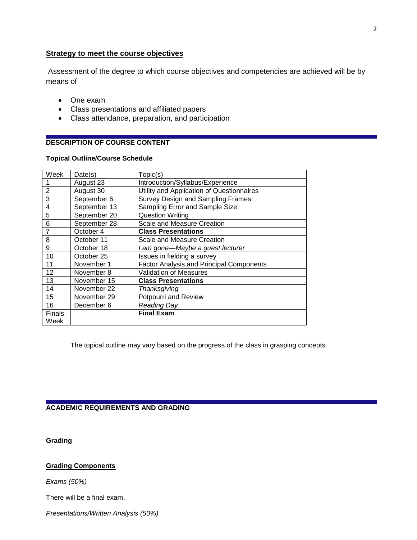# **Strategy to meet the course objectives**

Assessment of the degree to which course objectives and competencies are achieved will be by means of

- One exam
- Class presentations and affiliated papers
- Class attendance, preparation, and participation

# **DESCRIPTION OF COURSE CONTENT**

# **Topical Outline/Course Schedule**

| Week           | Date(s)      | Topic(s)                                        |
|----------------|--------------|-------------------------------------------------|
|                | August 23    | Introduction/Syllabus/Experience                |
| $\overline{2}$ | August 30    | Utility and Application of Questionnaires       |
| 3              | September 6  | Survey Design and Sampling Frames               |
| 4              | September 13 | Sampling Error and Sample Size                  |
| 5              | September 20 | <b>Question Writing</b>                         |
| 6              | September 28 | Scale and Measure Creation                      |
| 7              | October 4    | <b>Class Presentations</b>                      |
| 8              | October 11   | Scale and Measure Creation                      |
| 9              | October 18   | I am gone—Maybe a guest lecturer                |
| 10             | October 25   | Issues in fielding a survey                     |
| 11             | November 1   | <b>Factor Analysis and Principal Components</b> |
| 12             | November 8   | <b>Validation of Measures</b>                   |
| 13             | November 15  | <b>Class Presentations</b>                      |
| 14             | November 22  | Thanksgiving                                    |
| 15             | November 29  | Potpourri and Review                            |
| 16             | December 6   | <b>Reading Day</b>                              |
| Finals         |              | <b>Final Exam</b>                               |
| Week           |              |                                                 |

The topical outline may vary based on the progress of the class in grasping concepts.

# **ACADEMIC REQUIREMENTS AND GRADING**

**Grading**

# **Grading Components**

*Exams (50%)*

There will be a final exam.

*Presentations/Written Analysis (50%)*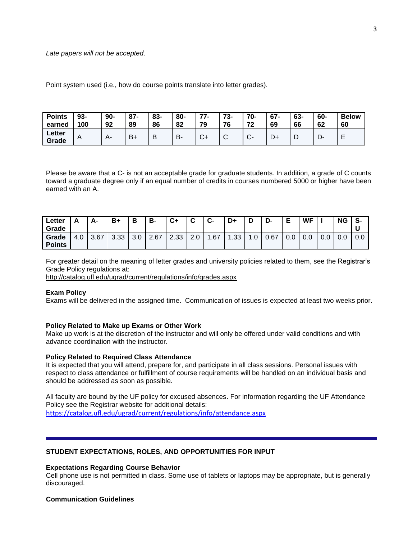#### *Late papers will not be accepted*.

Point system used (i.e., how do course points translate into letter grades).

| <b>Points</b><br>earned | $93-$<br>100   | $90 -$<br>92 | $87 -$<br>89 | 83-<br>86 | 80-<br>82 | 77<br>79     | 73-<br>76 | 70-<br>72<br>≁   | $67 -$<br>69 | 63-<br>66 | 60-<br>62 | <b>Below</b><br>60 |
|-------------------------|----------------|--------------|--------------|-----------|-----------|--------------|-----------|------------------|--------------|-----------|-----------|--------------------|
| Letter<br>Grade         | $\overline{A}$ | $A-$         | $B +$        | D         | B.        | $\sim$<br>J. | ⌒<br>ັ    | $\sim$<br>$\sim$ | υ÷           | L         | -<br>יש.  | -<br>–             |

Please be aware that a C- is not an acceptable grade for graduate students. In addition, a grade of C counts toward a graduate degree only if an equal number of credits in courses numbered 5000 or higher have been earned with an A.

| Letter        |     | А-   | B+   | Ð<br>о | B-   | C+   | ◠<br>ັ        | ◠<br>ີ ພ− | D+   | М  | D-   | E   | <b>WF</b> |     | <b>NG</b> | $\bullet$<br>ာ- |
|---------------|-----|------|------|--------|------|------|---------------|-----------|------|----|------|-----|-----------|-----|-----------|-----------------|
| Grade         |     |      |      |        |      |      |               |           |      |    |      |     |           |     |           |                 |
| Grade         | 4.0 | 3.67 | 3.33 | 3.0    | 2.67 | 2.33 | $\sim$<br>2.0 | .67       | 1.33 | .0 | 0.67 | 0.0 | 0.0       | 0.0 | 0.0       | 0.0             |
| <b>Points</b> |     |      |      |        |      |      |               |           |      |    |      |     |           |     |           |                 |

For greater detail on the meaning of letter grades and university policies related to them, see the Registrar's Grade Policy regulations at:

<http://catalog.ufl.edu/ugrad/current/regulations/info/grades.aspx>

### **Exam Policy**

Exams will be delivered in the assigned time. Communication of issues is expected at least two weeks prior.

#### **Policy Related to Make up Exams or Other Work**

Make up work is at the discretion of the instructor and will only be offered under valid conditions and with advance coordination with the instructor.

### **Policy Related to Required Class Attendance**

It is expected that you will attend, prepare for, and participate in all class sessions. Personal issues with respect to class attendance or fulfillment of course requirements will be handled on an individual basis and should be addressed as soon as possible.

All faculty are bound by the UF policy for excused absences. For information regarding the UF Attendance Policy see the Registrar website for additional details: <https://catalog.ufl.edu/ugrad/current/regulations/info/attendance.aspx>

### **STUDENT EXPECTATIONS, ROLES, AND OPPORTUNITIES FOR INPUT**

#### **Expectations Regarding Course Behavior**

Cell phone use is not permitted in class. Some use of tablets or laptops may be appropriate, but is generally discouraged.

### **Communication Guidelines**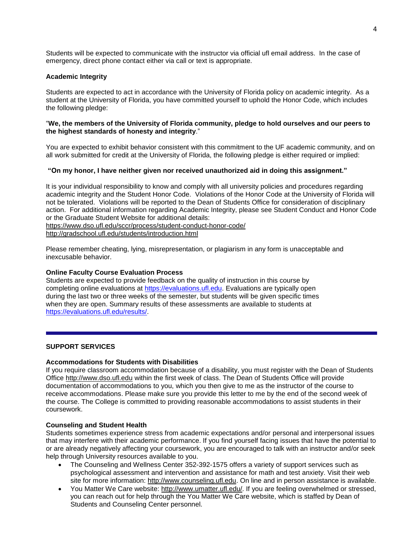Students will be expected to communicate with the instructor via official ufl email address. In the case of emergency, direct phone contact either via call or text is appropriate.

# **Academic Integrity**

Students are expected to act in accordance with the University of Florida policy on academic integrity. As a student at the University of Florida, you have committed yourself to uphold the Honor Code, which includes the following pledge:

# "**We, the members of the University of Florida community, pledge to hold ourselves and our peers to the highest standards of honesty and integrity**."

You are expected to exhibit behavior consistent with this commitment to the UF academic community, and on all work submitted for credit at the University of Florida, the following pledge is either required or implied:

# **"On my honor, I have neither given nor received unauthorized aid in doing this assignment."**

It is your individual responsibility to know and comply with all university policies and procedures regarding academic integrity and the Student Honor Code. Violations of the Honor Code at the University of Florida will not be tolerated. Violations will be reported to the Dean of Students Office for consideration of disciplinary action. For additional information regarding Academic Integrity, please see Student Conduct and Honor Code or the Graduate Student Website for additional details:

<https://www.dso.ufl.edu/sccr/process/student-conduct-honor-code/>

<http://gradschool.ufl.edu/students/introduction.html>

Please remember cheating, lying, misrepresentation, or plagiarism in any form is unacceptable and inexcusable behavior.

### **Online Faculty Course Evaluation Process**

Students are expected to provide feedback on the quality of instruction in this course by completing online evaluations at [https://evaluations.ufl.edu.](https://evaluations.ufl.edu/) Evaluations are typically open during the last two or three weeks of the semester, but students will be given specific times when they are open. Summary results of these assessments are available to students at [https://evaluations.ufl.edu/results/.](https://evaluations.ufl.edu/results/)

# **SUPPORT SERVICES**

### **Accommodations for Students with Disabilities**

If you require classroom accommodation because of a disability, you must register with the Dean of Students Office [http://www.dso.ufl.edu](http://www.dso.ufl.edu/) within the first week of class. The Dean of Students Office will provide documentation of accommodations to you, which you then give to me as the instructor of the course to receive accommodations. Please make sure you provide this letter to me by the end of the second week of the course. The College is committed to providing reasonable accommodations to assist students in their coursework.

### **Counseling and Student Health**

Students sometimes experience stress from academic expectations and/or personal and interpersonal issues that may interfere with their academic performance. If you find yourself facing issues that have the potential to or are already negatively affecting your coursework, you are encouraged to talk with an instructor and/or seek help through University resources available to you.

- The Counseling and Wellness Center 352-392-1575 offers a variety of support services such as psychological assessment and intervention and assistance for math and test anxiety. Visit their web site for more information: [http://www.counseling.ufl.edu.](http://www.counseling.ufl.edu/) On line and in person assistance is available.
- You Matter We Care website: [http://www.umatter.ufl.edu/.](http://www.umatter.ufl.edu/) If you are feeling overwhelmed or stressed, you can reach out for help through the You Matter We Care website, which is staffed by Dean of Students and Counseling Center personnel.